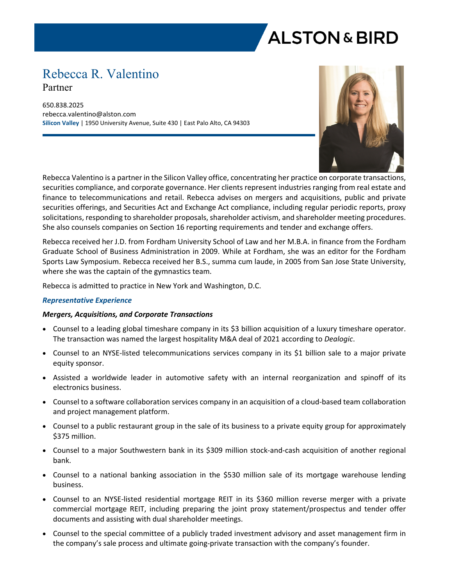# **ALSTON & BIRD**

### Rebecca R. Valentino

Partner

650.838.2025 rebecca.valentino@alston.com **Silicon Valley** | 1950 University Avenue, Suite 430 | East Palo Alto, CA 94303



Rebecca Valentino is a partner in the Silicon Valley office, concentrating her practice on corporate transactions, securities compliance, and corporate governance. Her clients represent industries ranging from real estate and finance to telecommunications and retail. Rebecca advises on mergers and acquisitions, public and private securities offerings, and Securities Act and Exchange Act compliance, including regular periodic reports, proxy solicitations, responding to shareholder proposals, shareholder activism, and shareholder meeting procedures. She also counsels companies on Section 16 reporting requirements and tender and exchange offers.

Rebecca received her J.D. from Fordham University School of Law and her M.B.A. in finance from the Fordham Graduate School of Business Administration in 2009. While at Fordham, she was an editor for the Fordham Sports Law Symposium. Rebecca received her B.S., summa cum laude, in 2005 from San Jose State University, where she was the captain of the gymnastics team.

Rebecca is admitted to practice in New York and Washington, D.C.

#### *Representative Experience*

#### *Mergers, Acquisitions, and Corporate Transactions*

- Counsel to a leading global timeshare company in its \$3 billion acquisition of a luxury timeshare operator. The transaction was named the largest hospitality M&A deal of 2021 according to *Dealogic*.
- Counsel to an NYSE-listed telecommunications services company in its \$1 billion sale to a major private equity sponsor.
- Assisted a worldwide leader in automotive safety with an internal reorganization and spinoff of its electronics business.
- Counsel to a software collaboration services company in an acquisition of a cloud-based team collaboration and project management platform.
- Counsel to a public restaurant group in the sale of its business to a private equity group for approximately \$375 million.
- Counsel to a major Southwestern bank in its \$309 million stock-and-cash acquisition of another regional bank.
- Counsel to a national banking association in the \$530 million sale of its mortgage warehouse lending business.
- Counsel to an NYSE-listed residential mortgage REIT in its \$360 million reverse merger with a private commercial mortgage REIT, including preparing the joint proxy statement/prospectus and tender offer documents and assisting with dual shareholder meetings.
- Counsel to the special committee of a publicly traded investment advisory and asset management firm in the company's sale process and ultimate going-private transaction with the company's founder.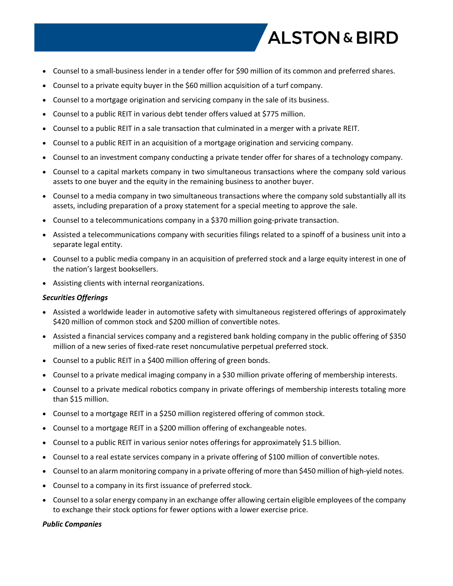## **ALSTON & BIRD**

- Counsel to a small-business lender in a tender offer for \$90 million of its common and preferred shares.
- Counsel to a private equity buyer in the \$60 million acquisition of a turf company.
- Counsel to a mortgage origination and servicing company in the sale of its business.
- Counsel to a public REIT in various debt tender offers valued at \$775 million.
- Counsel to a public REIT in a sale transaction that culminated in a merger with a private REIT.
- Counsel to a public REIT in an acquisition of a mortgage origination and servicing company.
- Counsel to an investment company conducting a private tender offer for shares of a technology company.
- Counsel to a capital markets company in two simultaneous transactions where the company sold various assets to one buyer and the equity in the remaining business to another buyer.
- Counsel to a media company in two simultaneous transactions where the company sold substantially all its assets, including preparation of a proxy statement for a special meeting to approve the sale.
- Counsel to a telecommunications company in a \$370 million going-private transaction.
- Assisted a telecommunications company with securities filings related to a spinoff of a business unit into a separate legal entity.
- Counsel to a public media company in an acquisition of preferred stock and a large equity interest in one of the nation's largest booksellers.
- Assisting clients with internal reorganizations.

#### *Securities Offerings*

- Assisted a worldwide leader in automotive safety with simultaneous registered offerings of approximately \$420 million of common stock and \$200 million of convertible notes.
- Assisted a financial services company and a registered bank holding company in the public offering of \$350 million of a new series of fixed-rate reset noncumulative perpetual preferred stock.
- Counsel to a public REIT in a \$400 million offering of green bonds.
- Counsel to a private medical imaging company in a \$30 million private offering of membership interests.
- Counsel to a private medical robotics company in private offerings of membership interests totaling more than \$15 million.
- Counsel to a mortgage REIT in a \$250 million registered offering of common stock.
- Counsel to a mortgage REIT in a \$200 million offering of exchangeable notes.
- Counsel to a public REIT in various senior notes offerings for approximately \$1.5 billion.
- Counsel to a real estate services company in a private offering of \$100 million of convertible notes.
- Counsel to an alarm monitoring company in a private offering of more than \$450 million of high-yield notes.
- Counsel to a company in its first issuance of preferred stock.
- Counsel to a solar energy company in an exchange offer allowing certain eligible employees of the company to exchange their stock options for fewer options with a lower exercise price.

#### *Public Companies*